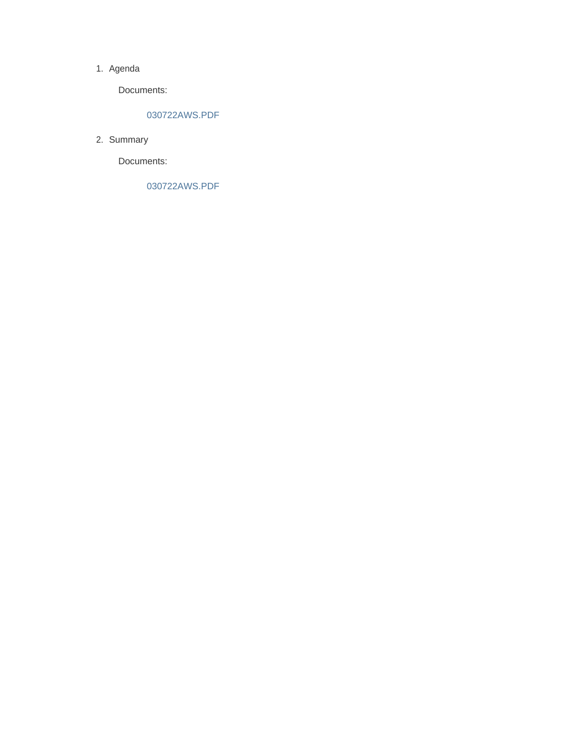#### 1. Agenda

Documents:

### 030722AWS.PDF

2. Summary

Documents:

030722AWS.PDF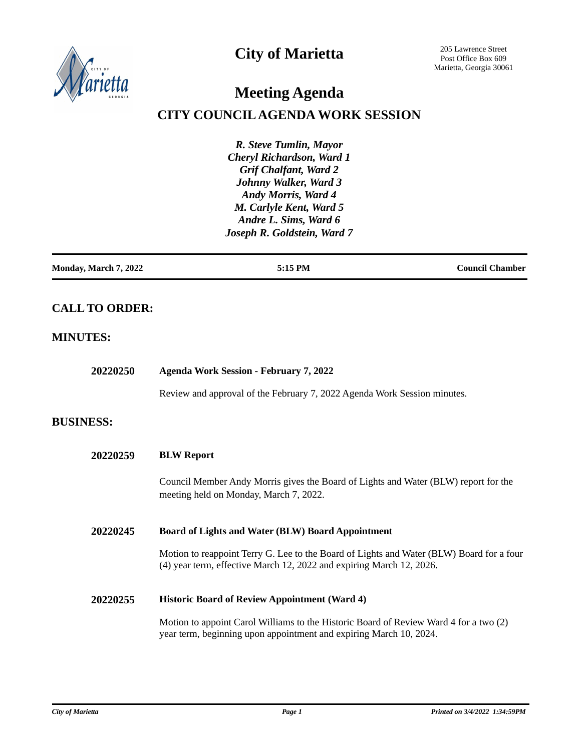

# **City of Marietta**

205 Lawrence Street Post Office Box 609 Marietta, Georgia 30061

# **Meeting Agenda**

## **CITY COUNCIL AGENDA WORK SESSION**

*R. Steve Tumlin, Mayor Cheryl Richardson, Ward 1 Grif Chalfant, Ward 2 Johnny Walker, Ward 3 Andy Morris, Ward 4 M. Carlyle Kent, Ward 5 Andre L. Sims, Ward 6 Joseph R. Goldstein, Ward 7*

| Monday, March 7, 2022 | 5:15 PM | <b>Council Chamber</b> |
|-----------------------|---------|------------------------|
|                       |         |                        |

## **CALL TO ORDER:**

### **MINUTES:**

| 20220250         | <b>Agenda Work Session - February 7, 2022</b>                                                                                                                    |  |
|------------------|------------------------------------------------------------------------------------------------------------------------------------------------------------------|--|
|                  | Review and approval of the February 7, 2022 Agenda Work Session minutes.                                                                                         |  |
| <b>BUSINESS:</b> |                                                                                                                                                                  |  |
| 20220259         | <b>BLW Report</b>                                                                                                                                                |  |
|                  | Council Member Andy Morris gives the Board of Lights and Water (BLW) report for the<br>meeting held on Monday, March 7, 2022.                                    |  |
| 20220245         | <b>Board of Lights and Water (BLW) Board Appointment</b>                                                                                                         |  |
|                  | Motion to reappoint Terry G. Lee to the Board of Lights and Water (BLW) Board for a four<br>(4) year term, effective March 12, 2022 and expiring March 12, 2026. |  |
| 20220255         | <b>Historic Board of Review Appointment (Ward 4)</b>                                                                                                             |  |
|                  | Motion to appoint Carol Williams to the Historic Board of Review Ward 4 for a two (2)<br>year term, beginning upon appointment and expiring March 10, 2024.      |  |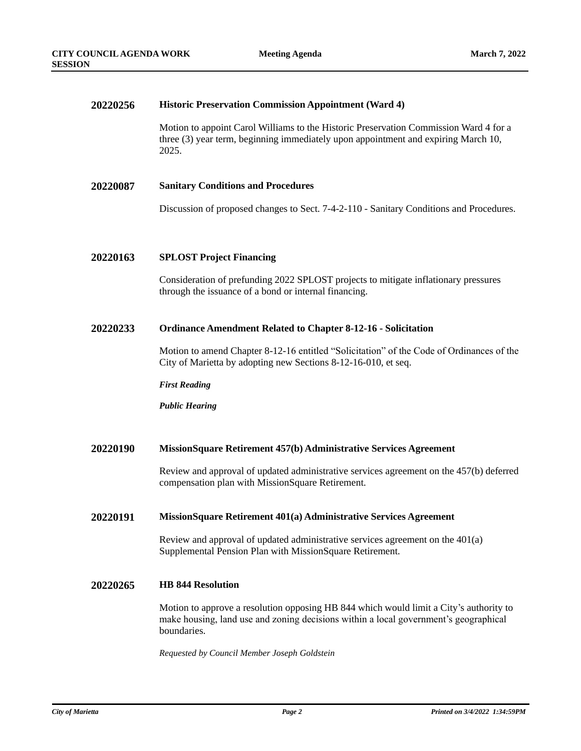#### **20220256 Historic Preservation Commission Appointment (Ward 4)**

Motion to appoint Carol Williams to the Historic Preservation Commission Ward 4 for a three (3) year term, beginning immediately upon appointment and expiring March 10, 2025.

#### **20220087 Sanitary Conditions and Procedures**

Discussion of proposed changes to Sect. 7-4-2-110 - Sanitary Conditions and Procedures.

#### **20220163 SPLOST Project Financing**

Consideration of prefunding 2022 SPLOST projects to mitigate inflationary pressures through the issuance of a bond or internal financing.

#### **20220233 Ordinance Amendment Related to Chapter 8-12-16 - Solicitation**

Motion to amend Chapter 8-12-16 entitled "Solicitation" of the Code of Ordinances of the City of Marietta by adopting new Sections 8-12-16-010, et seq.

*First Reading*

*Public Hearing*

#### **20220190 MissionSquare Retirement 457(b) Administrative Services Agreement**

Review and approval of updated administrative services agreement on the 457(b) deferred compensation plan with MissionSquare Retirement.

#### **20220191 MissionSquare Retirement 401(a) Administrative Services Agreement**

Review and approval of updated administrative services agreement on the 401(a) Supplemental Pension Plan with MissionSquare Retirement.

#### **20220265 HB 844 Resolution**

Motion to approve a resolution opposing HB 844 which would limit a City's authority to make housing, land use and zoning decisions within a local government's geographical boundaries.

*Requested by Council Member Joseph Goldstein*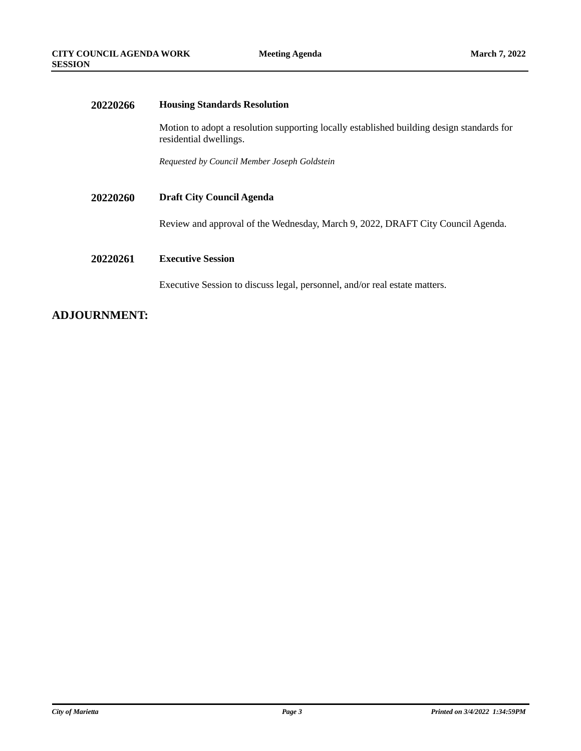| 20220266 | <b>Housing Standards Resolution</b>                                                                                 |  |
|----------|---------------------------------------------------------------------------------------------------------------------|--|
|          | Motion to adopt a resolution supporting locally established building design standards for<br>residential dwellings. |  |
|          | Requested by Council Member Joseph Goldstein                                                                        |  |
| 20220260 | <b>Draft City Council Agenda</b>                                                                                    |  |
|          | Review and approval of the Wednesday, March 9, 2022, DRAFT City Council Agenda.                                     |  |
| 20220261 | <b>Executive Session</b>                                                                                            |  |
|          | Executive Session to discuss legal, personnel, and/or real estate matters.                                          |  |
|          |                                                                                                                     |  |

## **ADJOURNMENT:**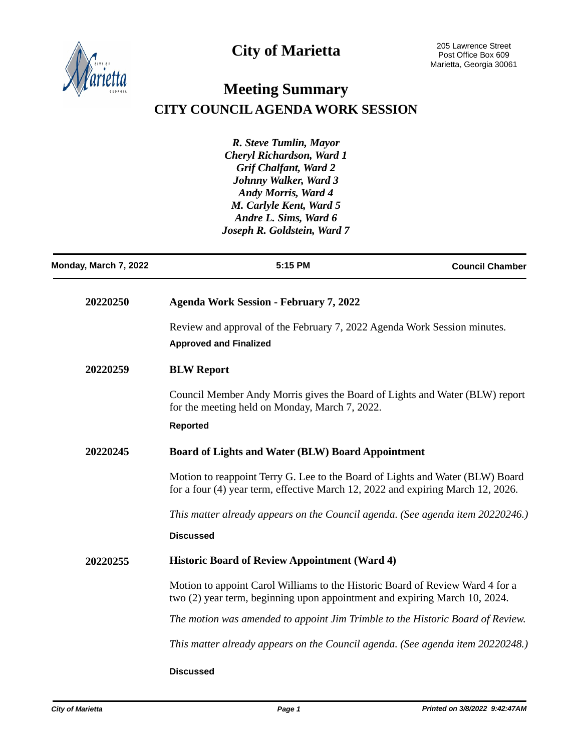



# **Meeting Summary CITY COUNCIL AGENDA WORK SESSION**

*R. Steve Tumlin, Mayor Cheryl Richardson, Ward 1 Grif Chalfant, Ward 2 Johnny Walker, Ward 3 Andy Morris, Ward 4 M. Carlyle Kent, Ward 5 Andre L. Sims, Ward 6 Joseph R. Goldstein, Ward 7*

| Monday, March 7, 2022 | 5:15 PM                                                                                                                                                          | <b>Council Chamber</b> |
|-----------------------|------------------------------------------------------------------------------------------------------------------------------------------------------------------|------------------------|
| 20220250              | <b>Agenda Work Session - February 7, 2022</b>                                                                                                                    |                        |
|                       | Review and approval of the February 7, 2022 Agenda Work Session minutes.<br><b>Approved and Finalized</b>                                                        |                        |
| 20220259              | <b>BLW Report</b>                                                                                                                                                |                        |
|                       | Council Member Andy Morris gives the Board of Lights and Water (BLW) report<br>for the meeting held on Monday, March 7, 2022.                                    |                        |
|                       | <b>Reported</b>                                                                                                                                                  |                        |
| 20220245              | <b>Board of Lights and Water (BLW) Board Appointment</b>                                                                                                         |                        |
|                       | Motion to reappoint Terry G. Lee to the Board of Lights and Water (BLW) Board<br>for a four (4) year term, effective March 12, 2022 and expiring March 12, 2026. |                        |
|                       | This matter already appears on the Council agenda. (See agenda item 20220246.)                                                                                   |                        |
|                       | <b>Discussed</b>                                                                                                                                                 |                        |
| 20220255              | <b>Historic Board of Review Appointment (Ward 4)</b>                                                                                                             |                        |
|                       | Motion to appoint Carol Williams to the Historic Board of Review Ward 4 for a<br>two (2) year term, beginning upon appointment and expiring March 10, 2024.      |                        |
|                       | The motion was amended to appoint Jim Trimble to the Historic Board of Review.                                                                                   |                        |
|                       | This matter already appears on the Council agenda. (See agenda item 20220248.)                                                                                   |                        |
|                       | <b>Discussed</b>                                                                                                                                                 |                        |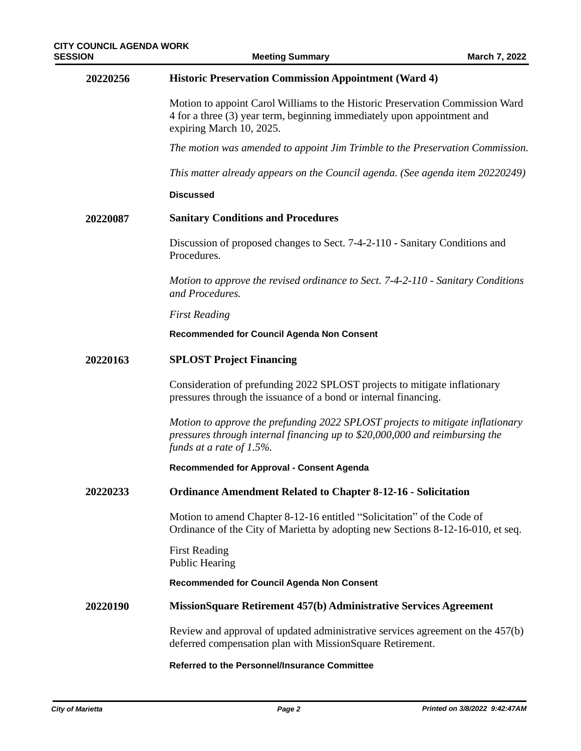**Meeting Summary** 

| 20220256 | <b>Historic Preservation Commission Appointment (Ward 4)</b>                                                                                                                                  |
|----------|-----------------------------------------------------------------------------------------------------------------------------------------------------------------------------------------------|
|          | Motion to appoint Carol Williams to the Historic Preservation Commission Ward<br>4 for a three (3) year term, beginning immediately upon appointment and<br>expiring March 10, 2025.          |
|          | The motion was amended to appoint Jim Trimble to the Preservation Commission.                                                                                                                 |
|          | This matter already appears on the Council agenda. (See agenda item 20220249)                                                                                                                 |
|          | <b>Discussed</b>                                                                                                                                                                              |
| 20220087 | <b>Sanitary Conditions and Procedures</b>                                                                                                                                                     |
|          | Discussion of proposed changes to Sect. 7-4-2-110 - Sanitary Conditions and<br>Procedures.                                                                                                    |
|          | Motion to approve the revised ordinance to Sect. 7-4-2-110 - Sanitary Conditions<br>and Procedures.                                                                                           |
|          | <b>First Reading</b>                                                                                                                                                                          |
|          | Recommended for Council Agenda Non Consent                                                                                                                                                    |
| 20220163 | <b>SPLOST Project Financing</b>                                                                                                                                                               |
|          | Consideration of prefunding 2022 SPLOST projects to mitigate inflationary<br>pressures through the issuance of a bond or internal financing.                                                  |
|          | Motion to approve the prefunding 2022 SPLOST projects to mitigate inflationary<br>pressures through internal financing up to \$20,000,000 and reimbursing the<br>funds at a rate of $1.5\%$ . |
|          | <b>Recommended for Approval - Consent Agenda</b>                                                                                                                                              |
| 20220233 | <b>Ordinance Amendment Related to Chapter 8-12-16 - Solicitation</b>                                                                                                                          |
|          | Motion to amend Chapter 8-12-16 entitled "Solicitation" of the Code of<br>Ordinance of the City of Marietta by adopting new Sections 8-12-16-010, et seq.                                     |
|          | <b>First Reading</b><br>Public Hearing                                                                                                                                                        |
|          | <b>Recommended for Council Agenda Non Consent</b>                                                                                                                                             |
| 20220190 | MissionSquare Retirement 457(b) Administrative Services Agreement                                                                                                                             |
|          | Review and approval of updated administrative services agreement on the 457(b)<br>deferred compensation plan with MissionSquare Retirement.                                                   |
|          | Referred to the Personnel/Insurance Committee                                                                                                                                                 |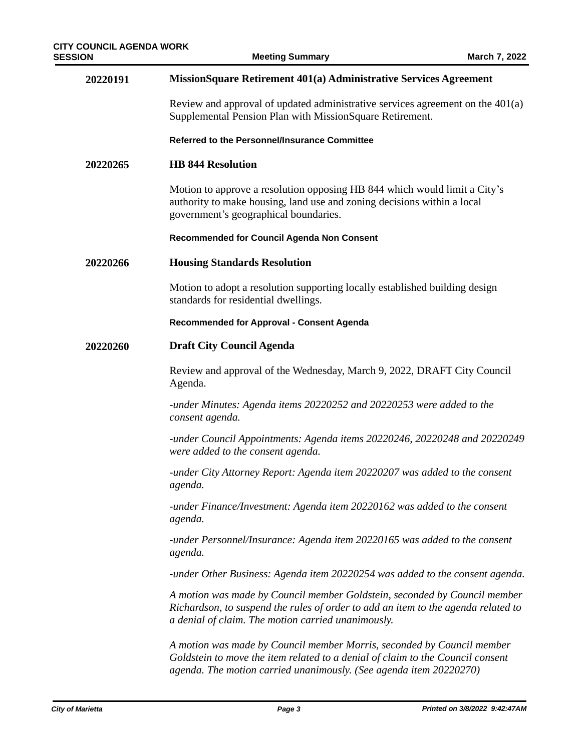| 20220191 | MissionSquare Retirement 401(a) Administrative Services Agreement                                                                                                                                                              |
|----------|--------------------------------------------------------------------------------------------------------------------------------------------------------------------------------------------------------------------------------|
|          | Review and approval of updated administrative services agreement on the $401(a)$<br>Supplemental Pension Plan with MissionSquare Retirement.                                                                                   |
|          | Referred to the Personnel/Insurance Committee                                                                                                                                                                                  |
| 20220265 | <b>HB 844 Resolution</b>                                                                                                                                                                                                       |
|          | Motion to approve a resolution opposing HB 844 which would limit a City's<br>authority to make housing, land use and zoning decisions within a local<br>government's geographical boundaries.                                  |
|          | Recommended for Council Agenda Non Consent                                                                                                                                                                                     |
| 20220266 | <b>Housing Standards Resolution</b>                                                                                                                                                                                            |
|          | Motion to adopt a resolution supporting locally established building design<br>standards for residential dwellings.                                                                                                            |
|          | <b>Recommended for Approval - Consent Agenda</b>                                                                                                                                                                               |
| 20220260 | <b>Draft City Council Agenda</b>                                                                                                                                                                                               |
|          | Review and approval of the Wednesday, March 9, 2022, DRAFT City Council<br>Agenda.                                                                                                                                             |
|          | -under Minutes: Agenda items 20220252 and 20220253 were added to the<br>consent agenda.                                                                                                                                        |
|          | -under Council Appointments: Agenda items 20220246, 20220248 and 20220249<br>were added to the consent agenda.                                                                                                                 |
|          | -under City Attorney Report: Agenda item 20220207 was added to the consent<br>agenda.                                                                                                                                          |
|          | -under Finance/Investment: Agenda item 20220162 was added to the consent<br>agenda.                                                                                                                                            |
|          | -under Personnel/Insurance: Agenda item 20220165 was added to the consent<br>agenda.                                                                                                                                           |
|          | -under Other Business: Agenda item 20220254 was added to the consent agenda.                                                                                                                                                   |
|          | A motion was made by Council member Goldstein, seconded by Council member<br>Richardson, to suspend the rules of order to add an item to the agenda related to<br>a denial of claim. The motion carried unanimously.           |
|          | A motion was made by Council member Morris, seconded by Council member<br>Goldstein to move the item related to a denial of claim to the Council consent<br>agenda. The motion carried unanimously. (See agenda item 20220270) |